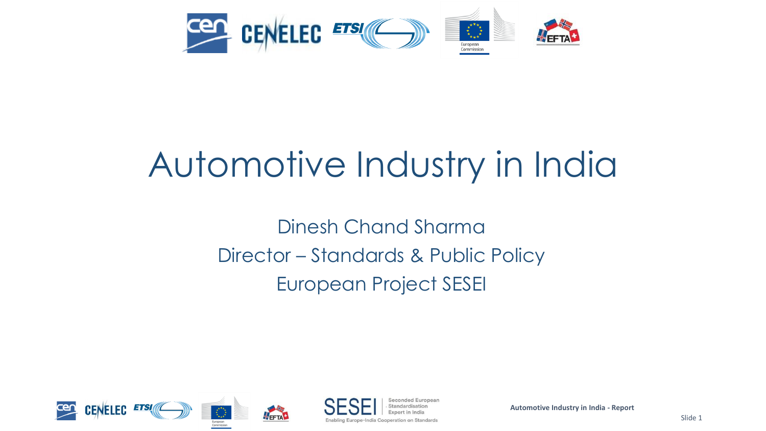

# Automotive Industry in India

Dinesh Chand Sharma Director – Standards & Public Policy European Project SESEI

econded Europear



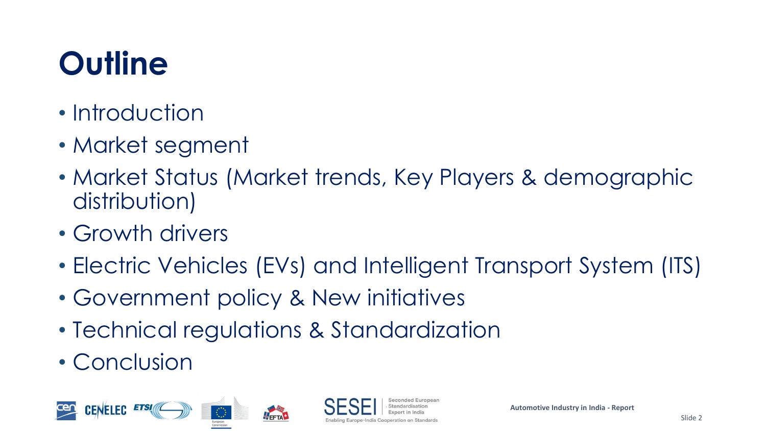# **Outline**

- Introduction
- Market segment
- Market Status (Market trends, Key Players & demographic distribution)
- Growth drivers
- Electric Vehicles (EVs) and Intelligent Transport System (ITS)
- Government policy & New initiatives
- Technical regulations & Standardization
- Conclusion



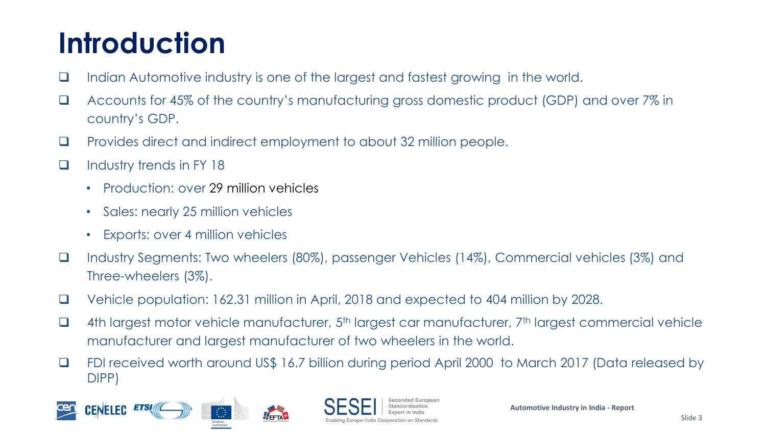## **Introduction**

- ❑ Indian Automotive industry is one of the largest and fastest growing in the world.
- ❑ Accounts for 45% of the country's manufacturing gross domestic product (GDP) and over 7% in country's GDP.
- ❑ Provides direct and indirect employment to about 32 million people.
- ❑ Industry trends in FY 18
	- Production: over 29 million vehicles
	- Sales: nearly 25 million vehicles
	- Exports: over 4 million vehicles
- ❑ Industry Segments: Two wheelers (80%), passenger Vehicles (14%), Commercial vehicles (3%) and Three-wheelers (3%).
- ❑ Vehicle population: 162.31 million in April, 2018 and expected to 404 million by 2028.
- □ 4th largest motor vehicle manufacturer, 5<sup>th</sup> largest car manufacturer, 7<sup>th</sup> largest commercial vehicle manufacturer and largest manufacturer of two wheelers in the world.
- ❑ FDI received worth around US\$ 16.7 billion during period April 2000 to March 2017 (Data released by DIPP)





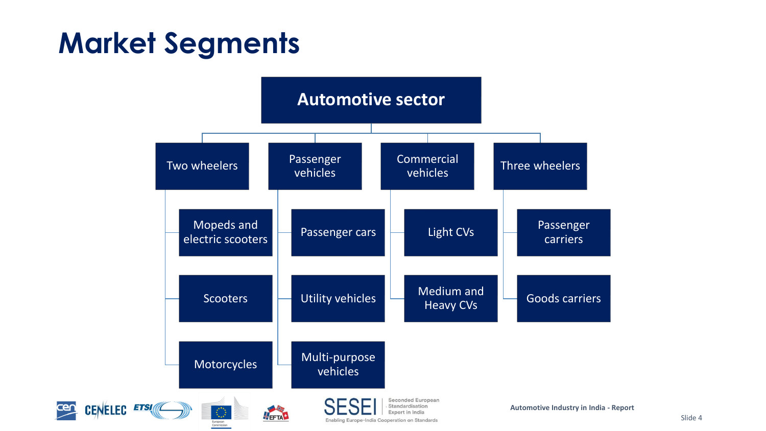#### **Market Segments**

<u>cen</u>

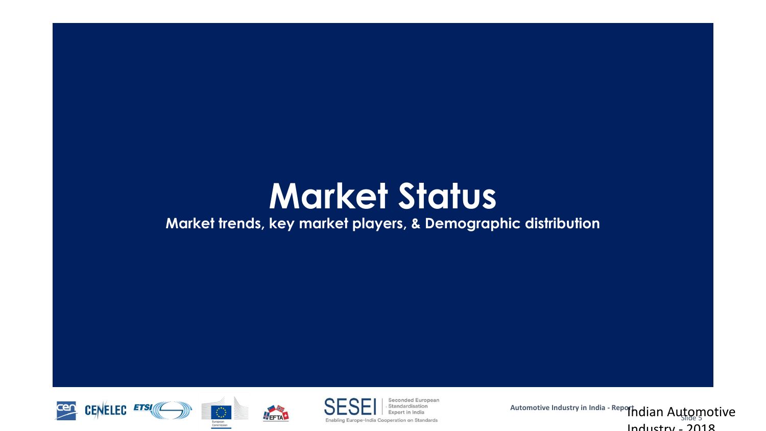# **Market Status**

#### **Market trends, key market players, & Demographic distribution**





NEFTAL



**Seconded European** Standardisation

**Automotive Industry in India - Report** 'fhdian Automotive  $Inductru - 2018$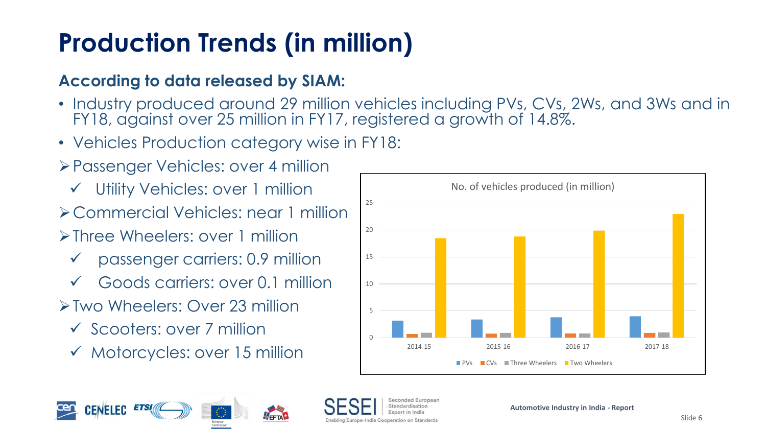#### **Production Trends (in million)**

#### **According to data released by SIAM:**

- Industry produced around 29 million vehicles including PVs, CVs, 2Ws, and 3Ws and in FY18, against over 25 million in FY17, registered a growth of 14.8%.
- Vehicles Production category wise in FY18:
- ➢Passenger Vehicles: over 4 million
	- ✓ Utility Vehicles: over 1 million
- ➢Commercial Vehicles: near 1 million
- ➢Three Wheelers: over 1 million
	- ✓ passenger carriers: 0.9 million
	- Goods carriers: over 0.1 million
- ➢Two Wheelers: Over 23 million
	- ✓ Scooters: over 7 million
	- ✓ Motorcycles: over 15 million





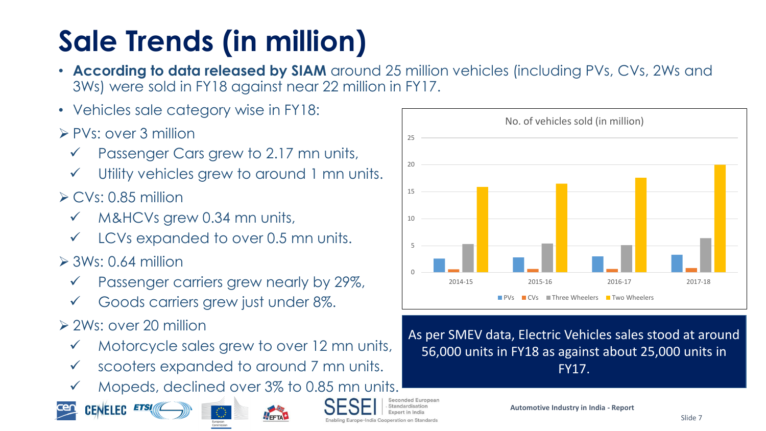# **Sale Trends (in million)**

- **According to data released by SIAM** around 25 million vehicles (including PVs, CVs, 2Ws and 3Ws) were sold in FY18 against near 22 million in FY17.
- Vehicles sale category wise in FY18:
- ➢ PVs: over 3 million
	- Passenger Cars grew to 2.17 mn units,
	- Utility vehicles grew to around 1 mn units.
- $\triangleright$  CVs: 0.85 million
	- M&HCVs grew 0.34 mn units,
	- LCVs expanded to over 0.5 mn units.
- $\geq$  3Ws: 0.64 million
	- Passenger carriers grew nearly by 29%,
	- Goods carriers grew just under 8%.
- ➢ 2Ws: over 20 million
	- Motorcycle sales grew to over 12 mn units,
	- scooters expanded to around 7 mn units.
	- Mopeds, declined over 3% to 0.85 mn units.









0 5 10 15 20 25 2014-15 2015-16 2016-17 2017-18 No. of vehicles sold (in million) CVs Three Wheelers Two Wheelers

#### As per SMEV data, Electric Vehicles sales stood at around 56,000 units in FY18 as against about 25,000 units in FY17.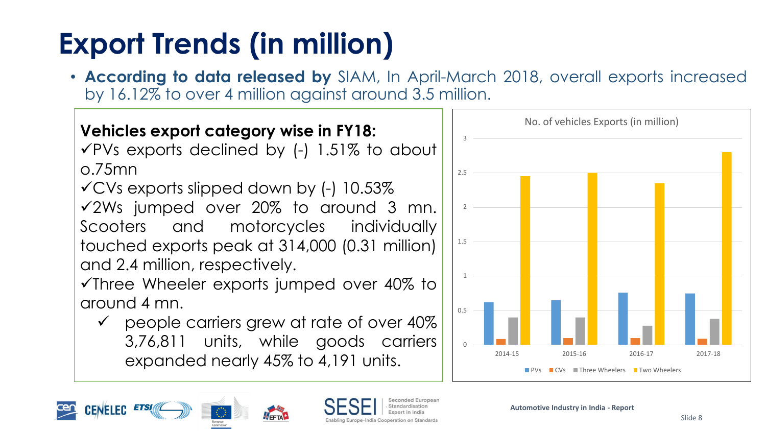# **Export Trends (in million)**

• **According to data released by** SIAM, In April-March 2018, overall exports increased by 16.12% to over 4 million against around 3.5 million.

**Vehicles export category wise in FY18:**  $\sqrt{P}Vs$  exports declined by (-) 1.51% to about o.75mn  $\checkmark$  CVs exports slipped down by (-) 10.53% ✓2Ws jumped over 20% to around 3 mn. Scooters and motorcycles individually touched exports peak at 314,000 (0.31 million) and 2.4 million, respectively.

✓Three Wheeler exports jumped over 40% to around 4 mn.

✓ people carriers grew at rate of over 40% 3,76,811 units, while goods carriers expanded nearly 45% to 4,191 units.



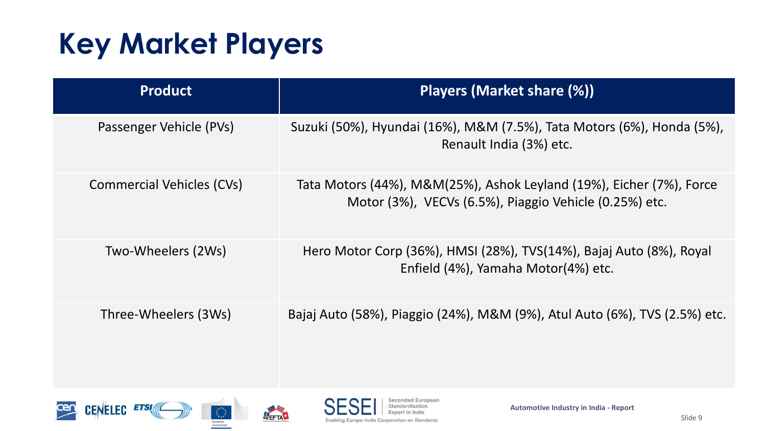## **Key Market Players**

| <b>Product</b>            | Players (Market share (%))                                                                                                     |
|---------------------------|--------------------------------------------------------------------------------------------------------------------------------|
| Passenger Vehicle (PVs)   | Suzuki (50%), Hyundai (16%), M&M (7.5%), Tata Motors (6%), Honda (5%),<br>Renault India (3%) etc.                              |
| Commercial Vehicles (CVs) | Tata Motors (44%), M&M(25%), Ashok Leyland (19%), Eicher (7%), Force<br>Motor (3%), VECVs (6.5%), Piaggio Vehicle (0.25%) etc. |
| Two-Wheelers (2Ws)        | Hero Motor Corp (36%), HMSI (28%), TVS(14%), Bajaj Auto (8%), Royal<br>Enfield (4%), Yamaha Motor(4%) etc.                     |
| Three-Wheelers (3Ws)      | Bajaj Auto (58%), Piaggio (24%), M&M (9%), Atul Auto (6%), TVS (2.5%) etc.                                                     |







Seconded European Standardisation Expert in India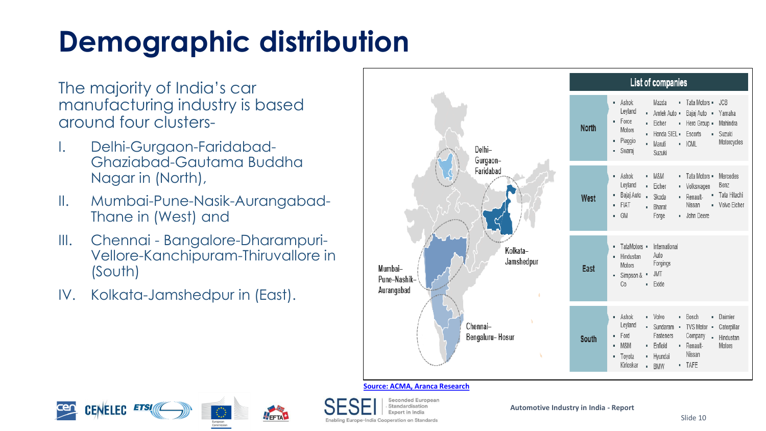# **Demographic distribution**

The majority of India's car manufacturing industry is based around four clusters-

- I. Delhi-Gurgaon-Faridabad-Ghaziabad-Gautama Buddha Nagar in (North),
- II. Mumbai-Pune-Nasik-Aurangabad-Thane in (West) and
- III. Chennai Bangalore-Dharampuri-Vellore-Kanchipuram-Thiruvallore in (South)
- IV. Kolkata-Jamshedpur in (East).



#### **Source: ACMA, Aranca Research**





Seconded European Standardication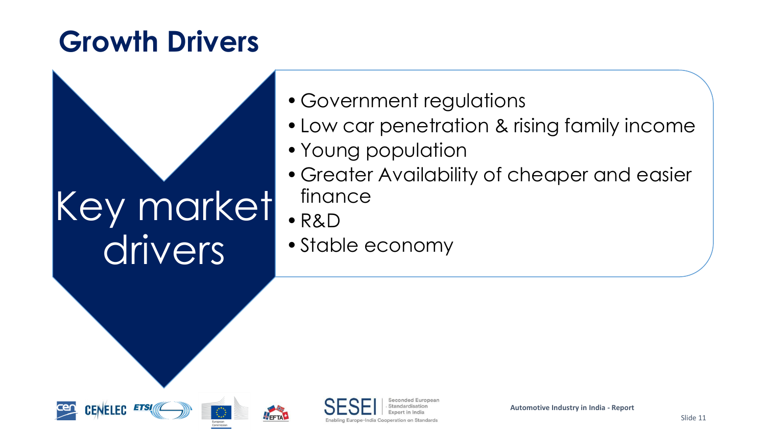## **Growth Drivers**



- •Government regulations
- •Low car penetration & rising family income
- •Young population
- •Greater Availability of cheaper and easier finance
- •R&D
- •Stable economy



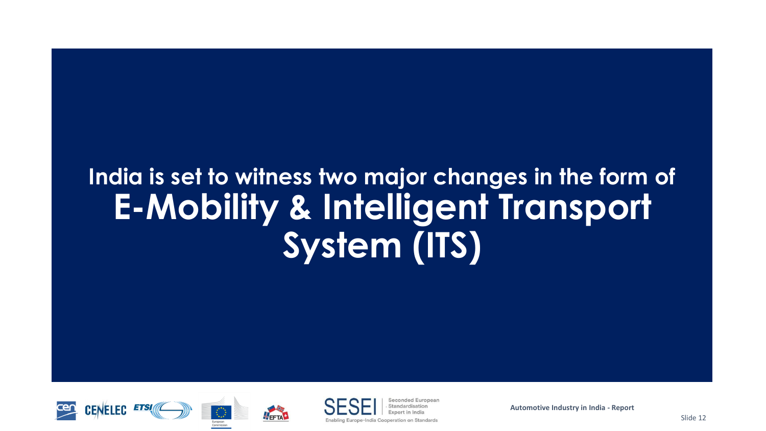#### **India is set to witness two major changes in the form of E-Mobility & Intelligent Transport System (ITS)**







Seconded Europear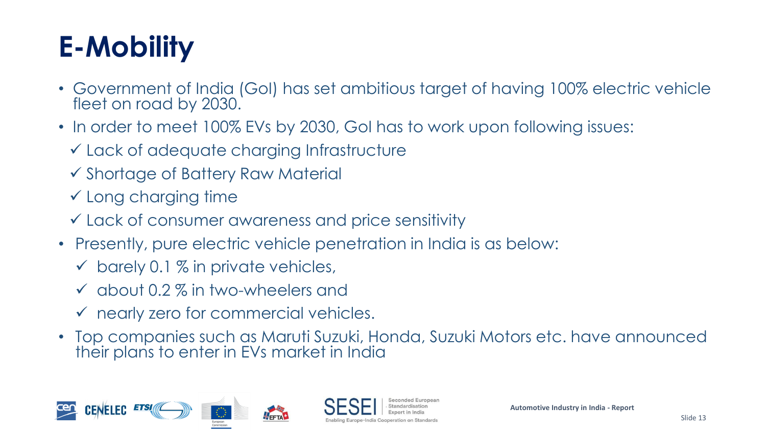# **E-Mobility**

- Government of India (GoI) has set ambitious target of having 100% electric vehicle fleet on road by 2030.
- In order to meet 100% EVs by 2030, GoI has to work upon following issues:
	- ✓ Lack of adequate charging Infrastructure
	- ✓ Shortage of Battery Raw Material
	- ✓ Long charging time
	- ✓ Lack of consumer awareness and price sensitivity
- Presently, pure electric vehicle penetration in India is as below:
	- $\checkmark$  barely 0.1 % in private vehicles,
	- $\checkmark$  about 0.2 % in two-wheelers and
	- ✓ nearly zero for commercial vehicles.
- Top companies such as Maruti Suzuki, Honda, Suzuki Motors etc. have announced their plans to enter in EVs market in India

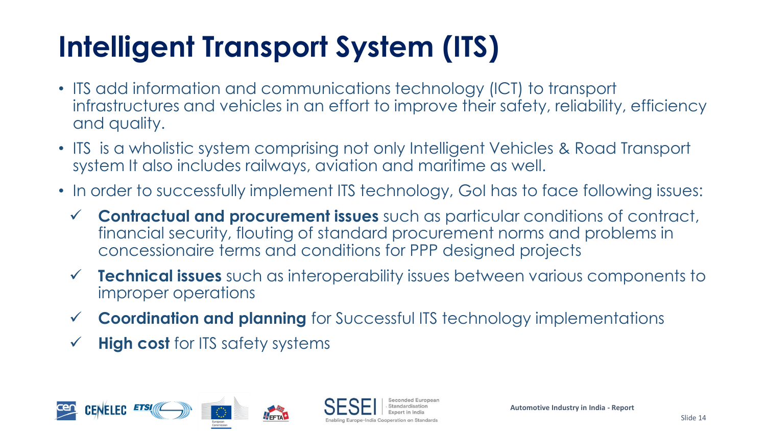# **Intelligent Transport System (ITS)**

- ITS add information and communications technology (ICT) to transport infrastructures and vehicles in an effort to improve their safety, reliability, efficiency and quality.
- ITS is a wholistic system comprising not only Intelligent Vehicles & Road Transport system It also includes railways, aviation and maritime as well.
- In order to successfully implement ITS technology, GoI has to face following issues:
	- ✓ **Contractual and procurement issues** such as particular conditions of contract, financial security, flouting of standard procurement norms and problems in concessionaire terms and conditions for PPP designed projects
	- **Technical issues** such as interoperability issues between various components to improper operations
	- ✓ **Coordination and planning** for Successful ITS technology implementations
	- **High cost** for ITS safety systems

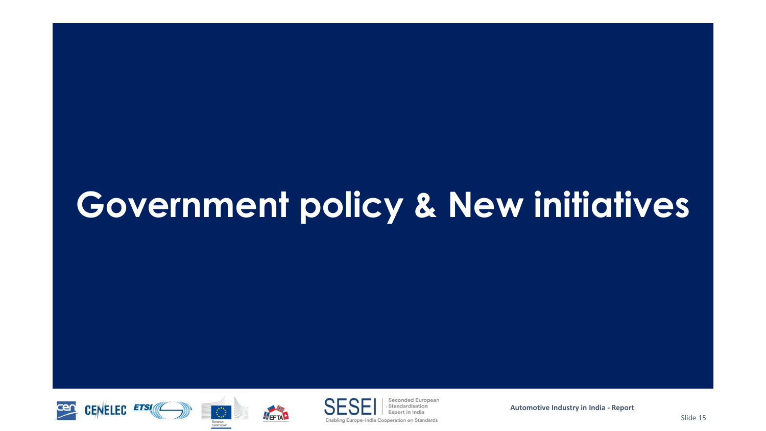# **Government policy & New initiatives**





**THEFTAN** 



Seconded European Standardisation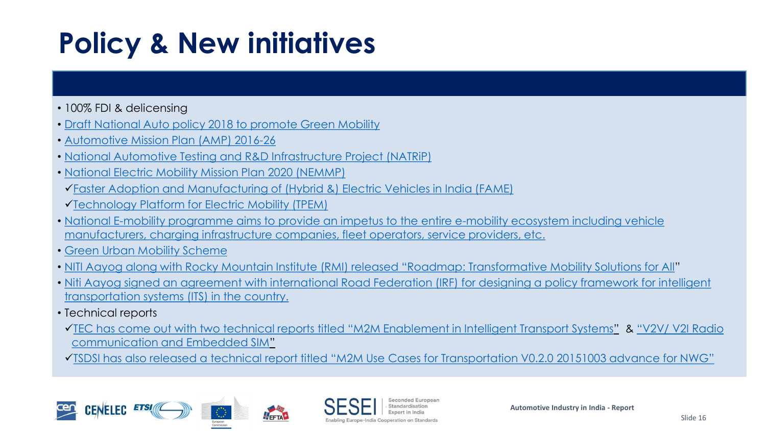## **Policy & New initiatives**

- 100% FDI & delicensing
- [Draft National Auto policy 2018 to promote Green Mobility](https://dhi.nic.in/writereaddata/UploadFile/DHI-NAB-Auto Policy Draft Document_vDRAFT.pdf)
- [Automotive Mission Plan \(AMP\) 2016-26](http://www.siamindia.com/uploads/filemanager/47AUTOMOTIVEMISSIONPLAN.pdf)
- [National Automotive Testing and R&D Infrastructure Project \(NATRiP\)](http://www.natrip.in/)
- [National Electric Mobility Mission Plan 2020 \(NEMMP\)](http://dhi.nic.in/UserView/index?mid=1347)
- ✓[Faster Adoption and Manufacturing of \(Hybrid &\) Electric Vehicles in India \(FAME\)](https://www.fame-india.gov.in/)
- ✓[Technology Platform for Electric Mobility \(TPEM\)](https://dhi.nic.in/UserView/index?mid=2428)
- [National E-mobility programme aims to provide an impetus to the entire e-mobility ecosystem including vehicle](http://pib.nic.in/newsite/PrintRelease.aspx?relid=177134)  manufacturers, charging infrastructure companies, fleet operators, service providers, etc.
- [Green Urban Mobility Scheme](https://govinfo.me/green-urban-transport-scheme/)
- [NITI Aayog along with Rocky Mountain Institute \(RMI\) released](https://smartnet.niua.org/content/172e4c72-54f7-4f8d-8efa-17ef08785495) "Roadmap: Transformative Mobility Solutions for All"
- Niti Aayog [signed an agreement with international Road Federation \(IRF\) for designing a policy framework for intelligent](https://www.financialexpress.com/economy/niti-irf-to-work-on-policy-for-transportation-systems/866260/) transportation systems (ITS) in the country.
- Technical reports
- ✓[TEC has come out with two technical reports titled](http://tec.gov.in/pdf/M2M/M2M Enablement in ITS.pdf) "M2M Enablement in Intelligent Transport Systems" & "V2V/ V2I Radio communication and Embedded SIM"
- ✓TSDSI has also released a technical report titled "[M2M Use Cases for Transportation V0.2.0 20151003 advance for NWG](https://members.tsdsi.in/index.php/s/kAkwppmQBVvwf7Q)"





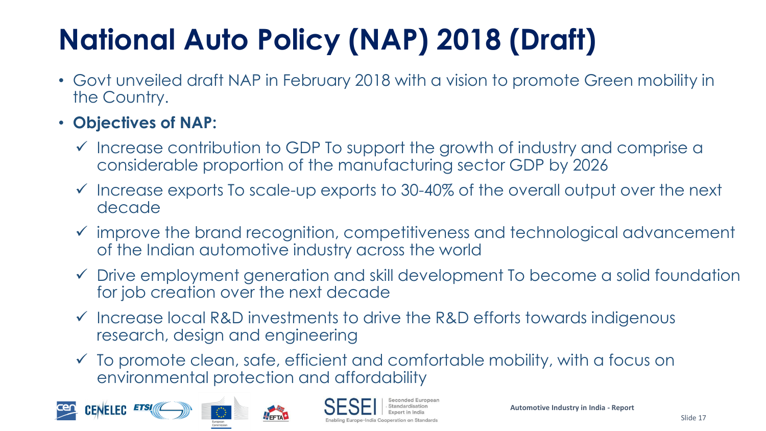# **National Auto Policy (NAP) 2018 (Draft)**

- Govt unveiled draft NAP in February 2018 with a vision to promote Green mobility in the Country.
- **Objectives of NAP:**
	- ✓ Increase contribution to GDP To support the growth of industry and comprise a considerable proportion of the manufacturing sector GDP by 2026
	- ✓ Increase exports To scale-up exports to 30-40% of the overall output over the next decade
	- ✓ improve the brand recognition, competitiveness and technological advancement of the Indian automotive industry across the world
	- ✓ Drive employment generation and skill development To become a solid foundation for job creation over the next decade
	- ✓ Increase local R&D investments to drive the R&D efforts towards indigenous research, design and engineering
	- ✓ To promote clean, safe, efficient and comfortable mobility, with a focus on environmental protection and affordability





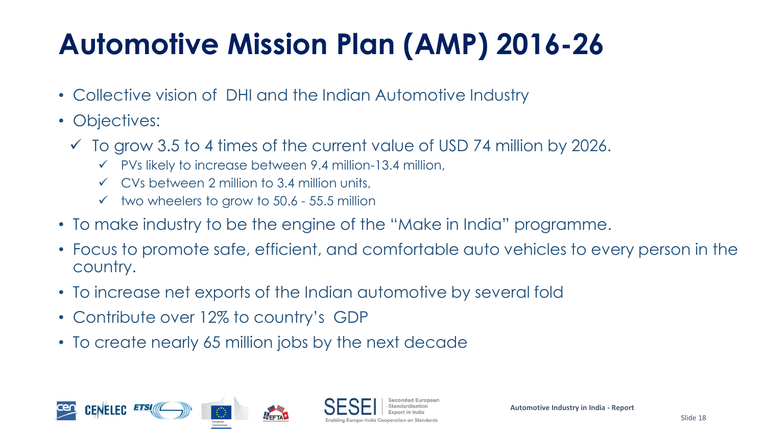# **Automotive Mission Plan (AMP) 2016-26**

- Collective vision of DHI and the Indian Automotive Industry
- Objectives:
	- $\checkmark$  To grow 3.5 to 4 times of the current value of USD 74 million by 2026.
		- $\checkmark$  PVs likely to increase between 9.4 million-13.4 million,
		- $\checkmark$  CVs between 2 million to 3.4 million units,
		- $\checkmark$  two wheelers to grow to 50.6 55.5 million
- To make industry to be the engine of the "Make in India" programme.
- Focus to promote safe, efficient, and comfortable auto vehicles to every person in the country.
- To increase net exports of the Indian automotive by several fold
- Contribute over 12% to country's GDP
- To create nearly 65 million jobs by the next decade

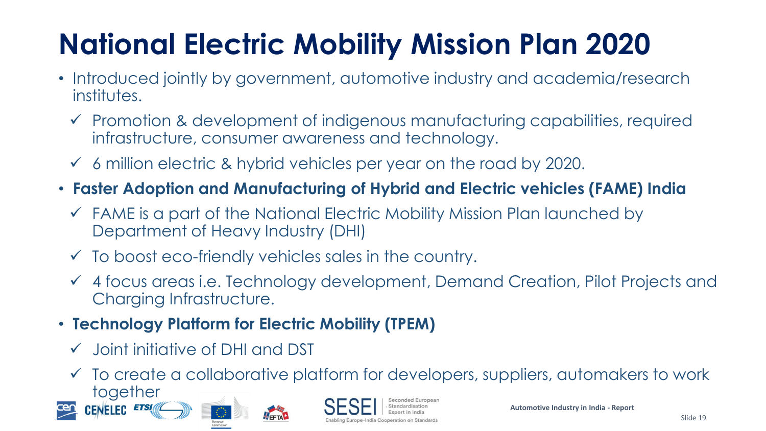# **National Electric Mobility Mission Plan 2020**

- Introduced jointly by government, automotive industry and academia/research institutes.
	- ✓ Promotion & development of indigenous manufacturing capabilities, required infrastructure, consumer awareness and technology.
	- $\checkmark$  6 million electric & hybrid vehicles per year on the road by 2020.
- **Faster Adoption and Manufacturing of Hybrid and Electric vehicles (FAME) India** 
	- ✓ FAME is a part of the National Electric Mobility Mission Plan launched by Department of Heavy Industry (DHI)
	- $\checkmark$  To boost eco-friendly vehicles sales in the country.

FETA<sup>+</sup>

- ✓ 4 focus areas i.e. Technology development, Demand Creation, Pilot Projects and Charging Infrastructure.
- **Technology Platform for Electric Mobility (TPEM)**
	- ✓ Joint initiative of DHI and DST
	- ✓ To create a collaborative platform for developers, suppliers, automakers to work together





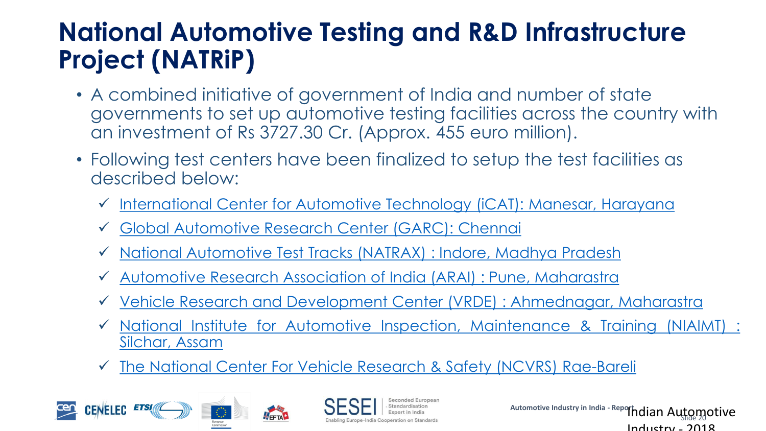#### **National Automotive Testing and R&D Infrastructure Project (NATRiP)**

- A combined initiative of government of India and number of state governments to set up automotive testing facilities across the country with an investment of Rs 3727.30 Cr. (Approx. 455 euro million).
- Following test centers have been finalized to setup the test facilities as described below:
	- ✓ [International](http://www.natrip.in/index.php/2013-06-29-11-35-28/icat-manesar) Center for Automotive Technology (iCAT): Manesar, Harayana
	- ✓ Global [Automotive](http://www.natrip.in/index.php/2013-06-29-11-35-28/garc-chennai) Research Center (GARC): Chennai

FETA

- ✓ National [Automotive](http://www.natrip.in/index.php/2013-06-29-11-35-28/natrax-indore) Test Tracks (NATRAX) : Indore, Madhya Pradesh
- ✓ [Automotive](http://www.natrip.in/index.php/2013-06-29-11-35-28/arai-pune) Research Association of India (ARAI) : Pune, Maharastra
- ✓ Vehicle Research and Development Center (VRDE) : [Ahmednagar,](http://www.natrip.in/index.php/2013-06-29-11-35-28/vrde-ahmednagar) Maharastra
- ✓ National Institute for Automotive Inspection, [Maintenance](http://www.natrip.in/index.php/2013-06-29-11-35-28/niaimt-silchar) & Training (NIAIMT) : Silchar, Assam
- ✓ The National Center For Vehicle Research & Safety (NCVRS) [Rae-Bareli](http://www.natrip.in/index.php/2013-06-29-11-35-28/ncvrs-raebareli)



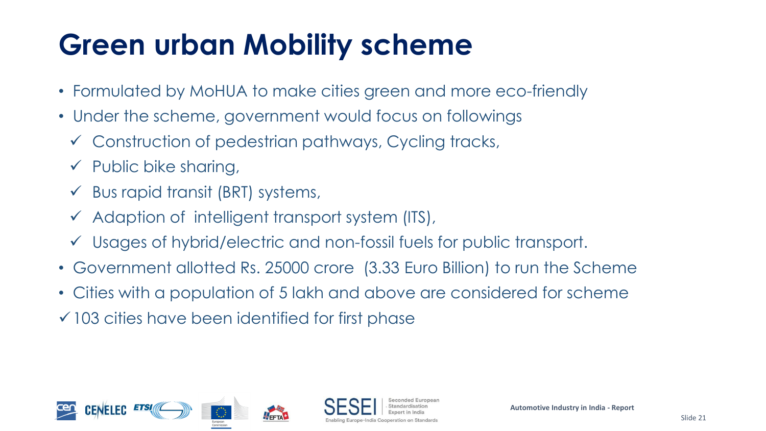## **Green urban Mobility scheme**

- Formulated by MoHUA to make cities green and more eco-friendly
- Under the scheme, government would focus on followings
	- ✓ Construction of pedestrian pathways, Cycling tracks,
	- $\checkmark$  Public bike sharing,
	- $\checkmark$  Bus rapid transit (BRT) systems,
	- $\checkmark$  Adaption of intelligent transport system (ITS),
	- ✓ Usages of hybrid/electric and non-fossil fuels for public transport.
- Government allotted Rs. 25000 crore (3.33 Euro Billion) to run the Scheme
- Cities with a population of 5 lakh and above are considered for scheme
- $\checkmark$  103 cities have been identified for first phase



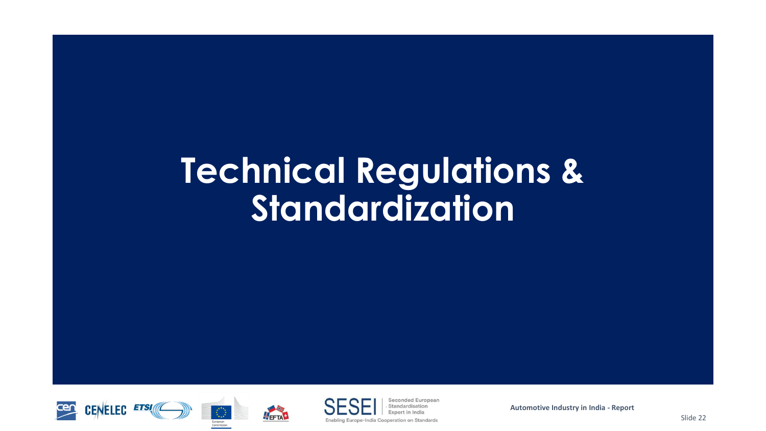# **Technical Regulations & Standardization**





FEETA<sup>+</sup>



Seconded European Standardication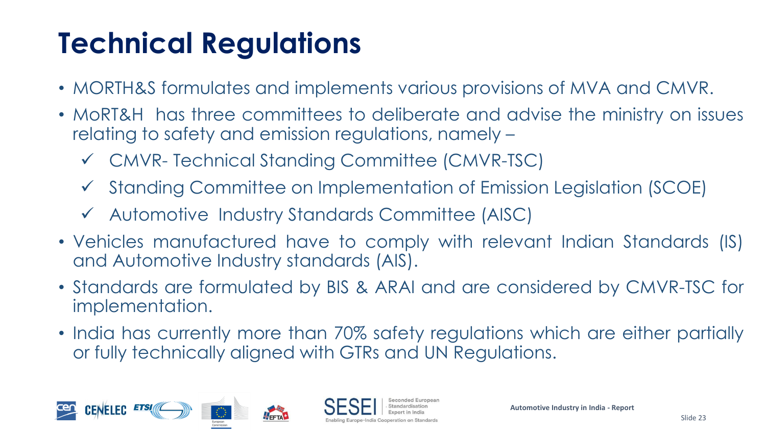# **Technical Regulations**

- MORTH&S formulates and implements various provisions of MVA and CMVR.
- MoRT&H has three committees to deliberate and advise the ministry on issues relating to safety and emission regulations, namely –
	- ✓ CMVR- Technical Standing Committee (CMVR-TSC)
	- ✓ Standing Committee on Implementation of Emission Legislation (SCOE)
	- ✓ Automotive Industry Standards Committee (AISC)
- Vehicles manufactured have to comply with relevant Indian Standards (IS) and Automotive Industry standards (AIS).
- Standards are formulated by BIS & ARAI and are considered by CMVR-TSC for implementation.
- India has currently more than 70% safety regulations which are either partially or fully technically aligned with GTRs and UN Regulations.

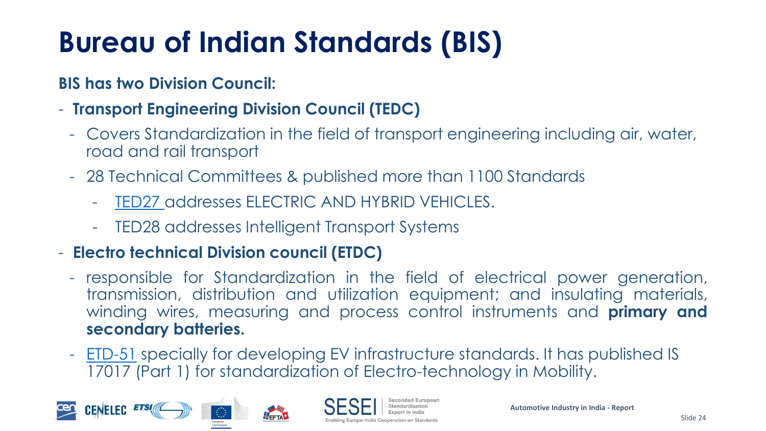# **Bureau of Indian Standards (BIS)**

#### **BIS has two Division Council:**

- **Transport Engineering Division Council (TEDC)**
	- Covers Standardization in the field of transport engineering including air, water, road and rail transport
	- 28 Technical Committees & published more than 1100 Standards
		- [TED27](https://services.bis.gov.in:8071/php/BIS/StandardsFormulationV2/pow.002.php?id=339) addresses ELECTRIC AND HYBRID VEHICLES.
		- TED28 addresses Intelligent Transport Systems

FETA

#### - **Electro technical Division council (ETDC)**

- responsible for Standardization in the field of electrical power generation, transmission, distribution and utilization equipment; and insulating materials, winding wires, measuring and process control instruments and **primary and secondary batteries.**
- <u>[ETD-51](https://services.bis.gov.in:8071/php/BIS/StandardsFormulationV2/pow.002.php?id=379)</u> specially for developing EV infrastructure standards. It has published IS 17017 (Part 1) for standardization of Electro-technology in Mobility.





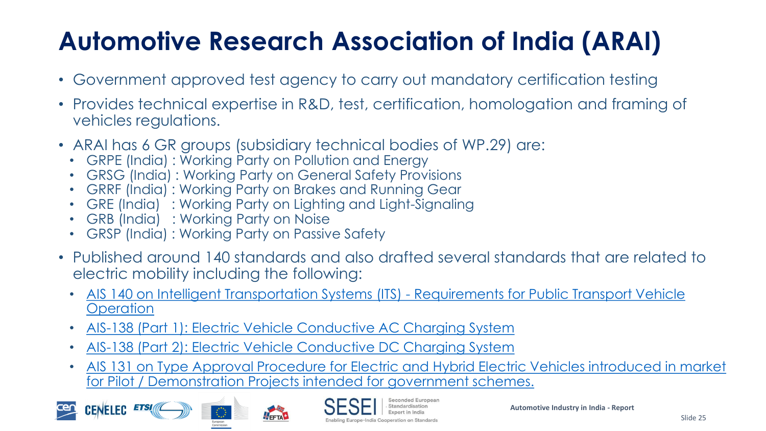#### **Automotive Research Association of India (ARAI)**

- Government approved test agency to carry out mandatory certification testing
- Provides technical expertise in R&D, test, certification, homologation and framing of vehicles regulations.
- ARAI has 6 GR groups (subsidiary technical bodies of WP.29) are:
	- GRPE (India) : Working Party on Pollution and Energy
	- GRSG (India) : Working Party on General Safety Provisions
	- GRRF (India) : Working Party on Brakes and Running Gear
	- GRE (India) : Working Party on Lighting and Light-Signaling
	- GRB (India) : Working Party on Noise
	- GRSP (India) : Working Party on Passive Safety
- Published around 140 standards and also drafted several standards that are related to electric mobility including the following:
	- [AIS 140 on Intelligent Transportation Systems \(ITS\) -](https://araiindia.com/hmr/Control/AIS/1302018121129PMAIS-140withAmd1.pdf) Requirements for Public Transport Vehicle **Operation**
	- [AIS-138 \(Part 1\): Electric Vehicle Conductive AC Charging System](https://araiindia.com/hmr/Control/AIS/210201752832PMAIS138_Part1.pdf)
	- [AIS-138 \(Part 2\): Electric Vehicle Conductive DC Charging System](https://araiindia.com/hmr/Control/AIS/320201825106PMAIS_138_Part_2_F.pdf)

FETA

• [AIS 131 on Type Approval Procedure for Electric and Hybrid Electric Vehicles introduced in market](https://araiindia.com/hmr/Control/AIS/19201533750PMAIS-131F.pdf)  for Pilot / Demonstration Projects intended for government schemes.





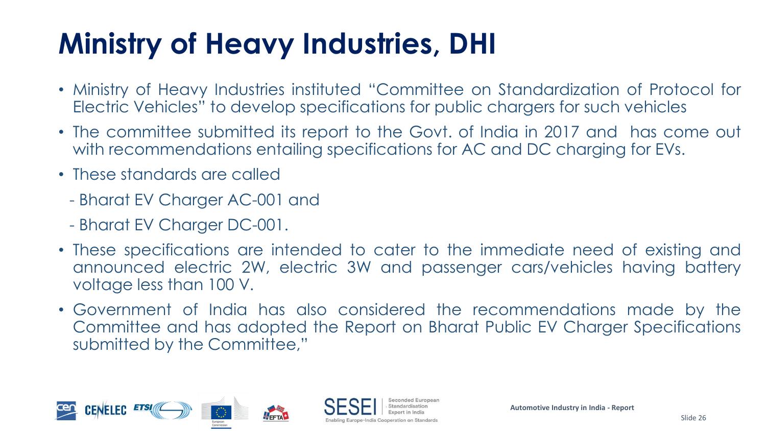# **Ministry of Heavy Industries, DHI**

- Ministry of Heavy Industries instituted "Committee on Standardization of Protocol for Electric Vehicles" to develop specifications for public chargers for such vehicles
- The committee submitted its report to the Govt. of India in 2017 and has come out with recommendations entailing specifications for AC and DC charging for EVs.
- These standards are called
	- Bharat EV Charger AC-001 and
	- Bharat EV Charger DC-001.
- These specifications are intended to cater to the immediate need of existing and announced electric 2W, electric 3W and passenger cars/vehicles having battery voltage less than 100 V.
- Government of India has also considered the recommendations made by the Committee and has adopted the Report on Bharat Public EV Charger Specifications submitted by the Committee,"



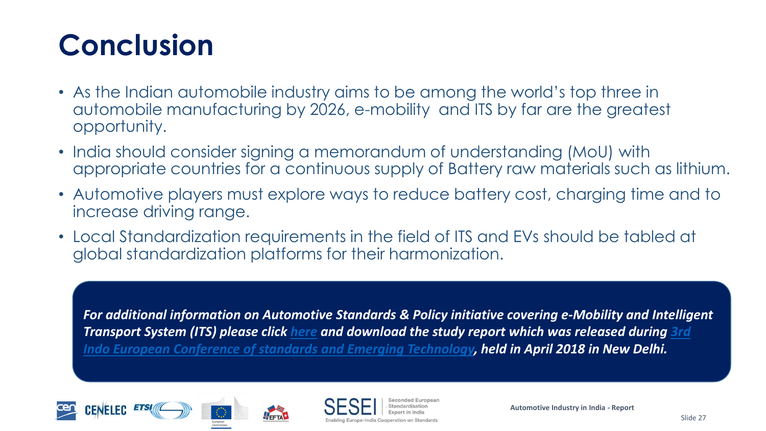## **Conclusion**

- As the Indian automobile industry aims to be among the world's top three in automobile manufacturing by 2026, e-mobility and ITS by far are the greatest opportunity.
- India should consider signing a memorandum of understanding (MoU) with appropriate countries for a continuous supply of Battery raw materials such as lithium.
- Automotive players must explore ways to reduce battery cost, charging time and to increase driving range.
- Local Standardization requirements in the field of ITS and EVs should be tabled at global standardization platforms for their harmonization.

*For additional information on Automotive Standards & Policy initiative covering e-Mobility and Intelligent Transport System (ITS) please click [here](http://www.sesei.eu/wp-content/uploads/2018/05/Study-report-on-Automotive.pdf) and download the study report which was released during 3rd [Indo European Conference of standards and Emerging Technology, held in April 2018 in New Delhi.](http://www.cii-iq.in/Indo_European_Conference.php?page=Indo_European_Conference_on_Standards)*